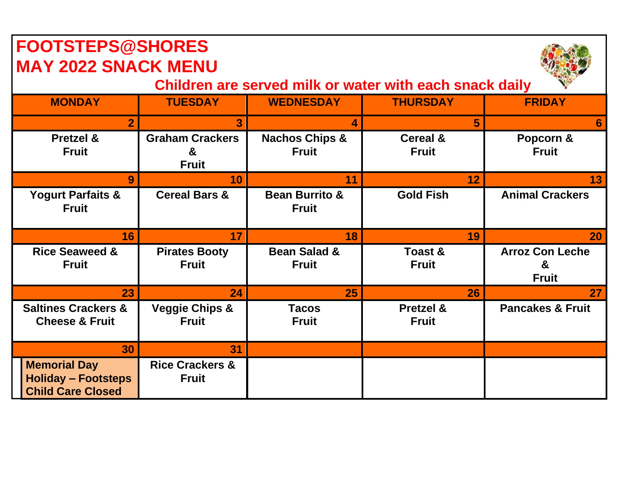| <b>FOOTSTEPS@SHORES</b><br><b>MAY 2022 SNACK MENU</b>                         |                                             |                                           |                                     |                                             |  |  |
|-------------------------------------------------------------------------------|---------------------------------------------|-------------------------------------------|-------------------------------------|---------------------------------------------|--|--|
| Children are served milk or water with each snack daily                       |                                             |                                           |                                     |                                             |  |  |
| <b>MONDAY</b>                                                                 | <b>TUESDAY</b>                              | <b>WEDNESDAY</b>                          | <b>THURSDAY</b>                     | <b>FRIDAY</b>                               |  |  |
| $\overline{2}$                                                                | 3                                           | 4                                         | $5\phantom{.}$                      | 6                                           |  |  |
| <b>Pretzel &amp;</b><br><b>Fruit</b>                                          | <b>Graham Crackers</b><br>&<br><b>Fruit</b> | <b>Nachos Chips &amp;</b><br><b>Fruit</b> | <b>Cereal &amp;</b><br><b>Fruit</b> | Popcorn &<br><b>Fruit</b>                   |  |  |
| 9                                                                             | 10                                          | 11                                        | 12                                  | 13                                          |  |  |
| <b>Yogurt Parfaits &amp;</b><br><b>Fruit</b>                                  | <b>Cereal Bars &amp;</b>                    | <b>Bean Burrito &amp;</b><br><b>Fruit</b> | <b>Gold Fish</b>                    | <b>Animal Crackers</b>                      |  |  |
| 16                                                                            | 17                                          | 18                                        | 19                                  | <b>20</b>                                   |  |  |
| <b>Rice Seaweed &amp;</b><br><b>Fruit</b>                                     | <b>Pirates Booty</b><br><b>Fruit</b>        | <b>Bean Salad &amp;</b><br><b>Fruit</b>   | <b>Toast &amp;</b><br><b>Fruit</b>  | <b>Arroz Con Leche</b><br>&<br><b>Fruit</b> |  |  |
| 23                                                                            | 24                                          | 25                                        | 26                                  | 27 <sub>2</sub>                             |  |  |
| <b>Saltines Crackers &amp;</b><br><b>Cheese &amp; Fruit</b>                   | <b>Veggie Chips &amp;</b><br><b>Fruit</b>   | <b>Tacos</b><br><b>Fruit</b>              | Pretzel &<br><b>Fruit</b>           | <b>Pancakes &amp; Fruit</b>                 |  |  |
| 30                                                                            | 31                                          |                                           |                                     |                                             |  |  |
| <b>Memorial Day</b><br><b>Holiday - Footsteps</b><br><b>Child Care Closed</b> | <b>Rice Crackers &amp;</b><br><b>Fruit</b>  |                                           |                                     |                                             |  |  |